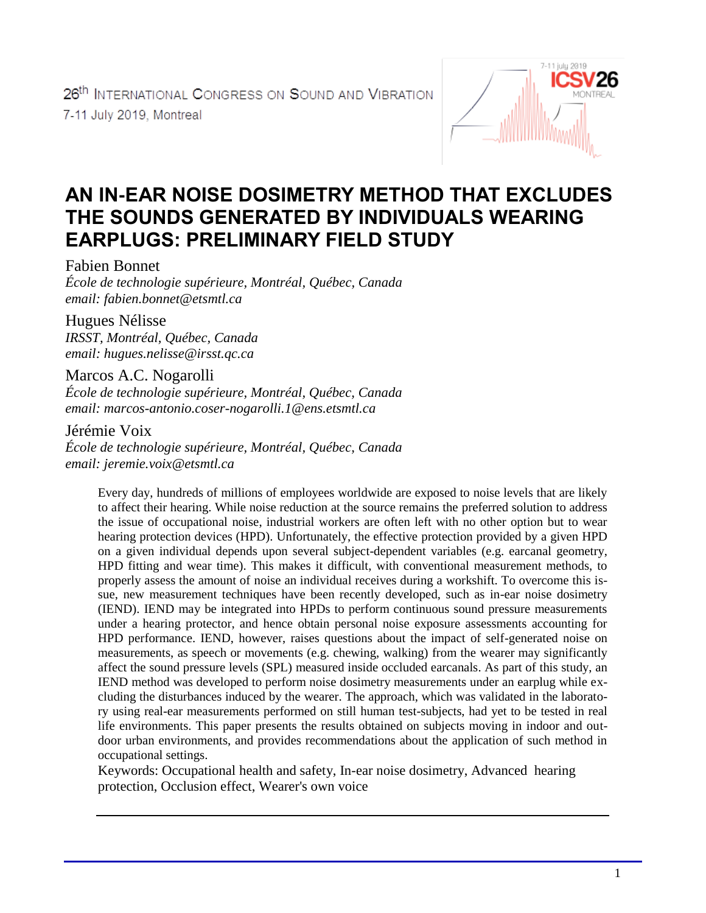

# **AN IN-EAR NOISE DOSIMETRY METHOD THAT EXCLUDES THE SOUNDS GENERATED BY INDIVIDUALS WEARING EARPLUGS: PRELIMINARY FIELD STUDY**

Fabien Bonnet

*École de technologie supérieure, Montréal, Québec, Canada email: fabien.bonnet@etsmtl.ca*

Hugues Nélisse *IRSST, Montréal, Québec, Canada email: hugues.nelisse@irsst.qc.ca*

Marcos A.C. Nogarolli *École de technologie supérieure, Montréal, Québec, Canada email: marcos-antonio.coser-nogarolli.1@ens.etsmtl.ca*

Jérémie Voix

*École de technologie supérieure, Montréal, Québec, Canada email: jeremie.voix@etsmtl.ca*

Every day, hundreds of millions of employees worldwide are exposed to noise levels that are likely to affect their hearing. While noise reduction at the source remains the preferred solution to address the issue of occupational noise, industrial workers are often left with no other option but to wear hearing protection devices (HPD). Unfortunately, the effective protection provided by a given HPD on a given individual depends upon several subject-dependent variables (e.g. earcanal geometry, HPD fitting and wear time). This makes it difficult, with conventional measurement methods, to properly assess the amount of noise an individual receives during a workshift. To overcome this issue, new measurement techniques have been recently developed, such as in-ear noise dosimetry (IEND). IEND may be integrated into HPDs to perform continuous sound pressure measurements under a hearing protector, and hence obtain personal noise exposure assessments accounting for HPD performance. IEND, however, raises questions about the impact of self-generated noise on measurements, as speech or movements (e.g. chewing, walking) from the wearer may significantly affect the sound pressure levels (SPL) measured inside occluded earcanals. As part of this study, an IEND method was developed to perform noise dosimetry measurements under an earplug while excluding the disturbances induced by the wearer. The approach, which was validated in the laboratory using real-ear measurements performed on still human test-subjects, had yet to be tested in real life environments. This paper presents the results obtained on subjects moving in indoor and outdoor urban environments, and provides recommendations about the application of such method in occupational settings.

Keywords: Occupational health and safety, In-ear noise dosimetry, Advanced hearing protection, Occlusion effect, Wearer's own voice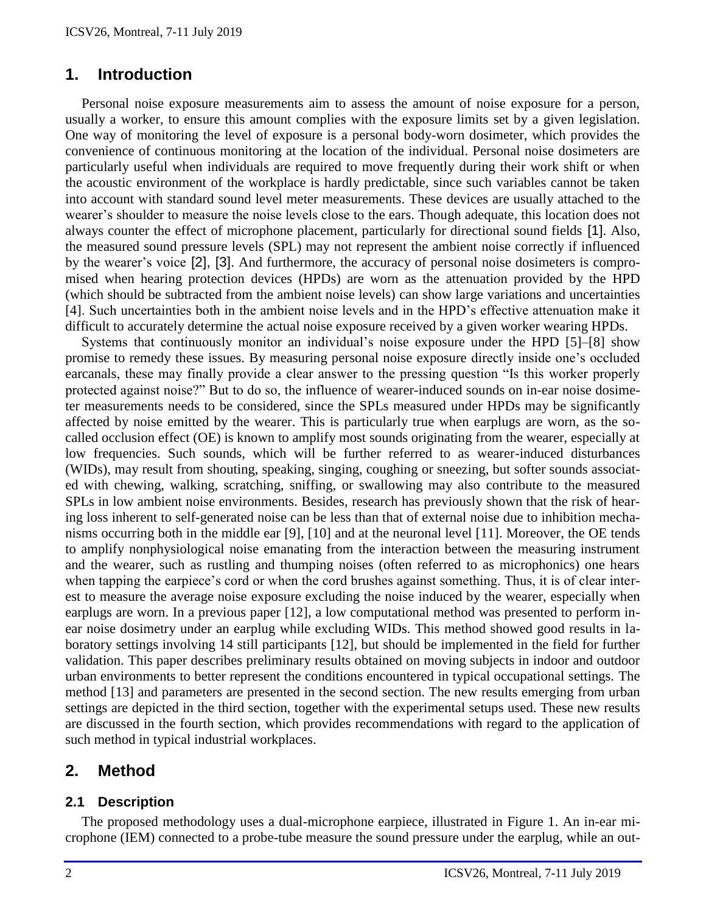### **1. Introduction**

Personal noise exposure measurements aim to assess the amount of noise exposure for a person, usually a worker, to ensure this amount complies with the exposure limits set by a given legislation. One way of monitoring the level of exposure is a personal body-worn dosimeter, which provides the convenience of continuous monitoring at the location of the individual. Personal noise dosimeters are particularly useful when individuals are required to move frequently during their work shift or when the acoustic environment of the workplace is hardly predictable, since such variables cannot be taken into account with standard sound level meter measurements. These devices are usually attached to the wearer's shoulder to measure the noise levels close to the ears. Though adequate, this location does not always counter the effect of microphone placement, particularly for directional sound fields [1]. Also, the measured sound pressure levels (SPL) may not represent the ambient noise correctly if influenced by the wearer's voice [2], [3]. And furthermore, the accuracy of personal noise dosimeters is compromised when hearing protection devices (HPDs) are worn as the attenuation provided by the HPD (which should be subtracted from the ambient noise levels) can show large variations and uncertainties [4]. Such uncertainties both in the ambient noise levels and in the HPD's effective attenuation make it difficult to accurately determine the actual noise exposure received by a given worker wearing HPDs.

Systems that continuously monitor an individual's noise exposure under the HPD [5]–[8] show promise to remedy these issues. By measuring personal noise exposure directly inside one's occluded earcanals, these may finally provide a clear answer to the pressing question "Is this worker properly protected against noise?" But to do so, the influence of wearer-induced sounds on in-ear noise dosimeter measurements needs to be considered, since the SPLs measured under HPDs may be significantly affected by noise emitted by the wearer. This is particularly true when earplugs are worn, as the socalled occlusion effect (OE) is known to amplify most sounds originating from the wearer, especially at low frequencies. Such sounds, which will be further referred to as wearer-induced disturbances (WIDs), may result from shouting, speaking, singing, coughing or sneezing, but softer sounds associated with chewing, walking, scratching, sniffing, or swallowing may also contribute to the measured SPLs in low ambient noise environments. Besides, research has previously shown that the risk of hearing loss inherent to self-generated noise can be less than that of external noise due to inhibition mechanisms occurring both in the middle ear [9], [10] and at the neuronal level [11]. Moreover, the OE tends to amplify nonphysiological noise emanating from the interaction between the measuring instrument and the wearer, such as rustling and thumping noises (often referred to as microphonics) one hears when tapping the earpiece's cord or when the cord brushes against something. Thus, it is of clear interest to measure the average noise exposure excluding the noise induced by the wearer, especially when earplugs are worn. In a previous paper [12], a low computational method was presented to perform inear noise dosimetry under an earplug while excluding WIDs. This method showed good results in laboratory settings involving 14 still participants [12], but should be implemented in the field for further validation. This paper describes preliminary results obtained on moving subjects in indoor and outdoor urban environments to better represent the conditions encountered in typical occupational settings. The method [13] and parameters are presented in the second section. The new results emerging from urban settings are depicted in the third section, together with the experimental setups used. These new results are discussed in the fourth section, which provides recommendations with regard to the application of such method in typical industrial workplaces.

### **2. Method**

#### **2.1 Description**

The proposed methodology uses a dual-microphone earpiece, illustrated in [Figure 1.](#page-2-0) An in-ear microphone (IEM) connected to a probe-tube measure the sound pressure under the earplug, while an out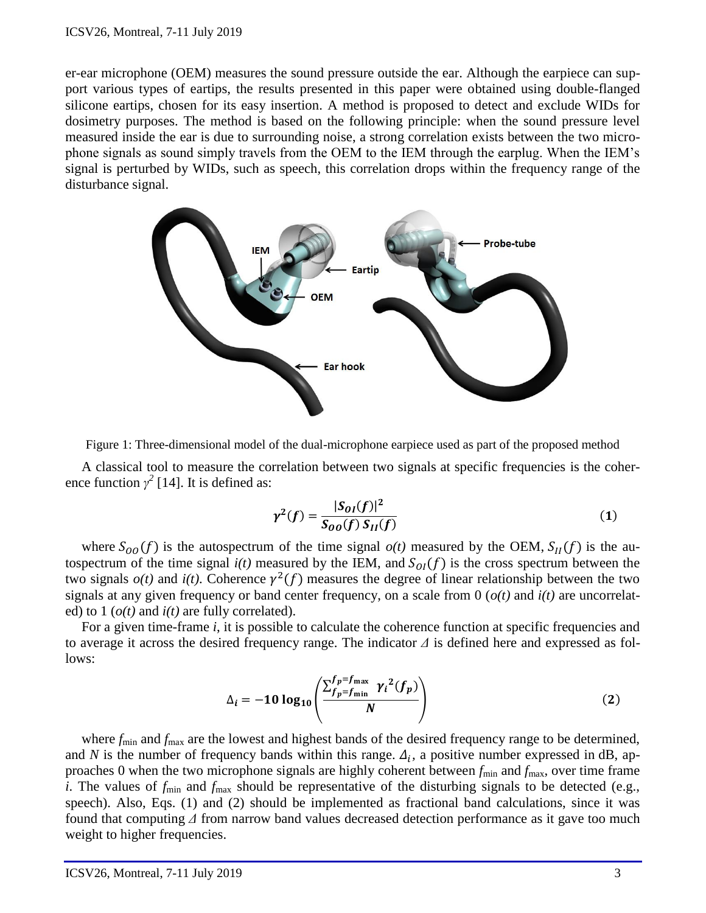er-ear microphone (OEM) measures the sound pressure outside the ear. Although the earpiece can support various types of eartips, the results presented in this paper were obtained using double-flanged silicone eartips, chosen for its easy insertion. A method is proposed to detect and exclude WIDs for dosimetry purposes. The method is based on the following principle: when the sound pressure level measured inside the ear is due to surrounding noise, a strong correlation exists between the two microphone signals as sound simply travels from the OEM to the IEM through the earplug. When the IEM's signal is perturbed by WIDs, such as speech, this correlation drops within the frequency range of the disturbance signal.



<span id="page-2-0"></span>

A classical tool to measure the correlation between two signals at specific frequencies is the coherence function  $\gamma^2$  [14]. It is defined as:

$$
\gamma^{2}(f) = \frac{|S_{0I}(f)|^{2}}{S_{00}(f) S_{II}(f)}
$$
(1)

where  $S_{OO}(f)$  is the autospectrum of the time signal  $o(t)$  measured by the OEM,  $S_{II}(f)$  is the autospectrum of the time signal  $i(t)$  measured by the IEM, and  $S_{0I}(f)$  is the cross spectrum between the two signals  $o(t)$  and  $i(t)$ . Coherence  $\gamma^2(f)$  measures the degree of linear relationship between the two signals at any given frequency or band center frequency, on a scale from 0 (*o(t)* and *i(t)* are uncorrelated) to 1 (*o(t)* and *i(t)* are fully correlated).

For a given time-frame *i*, it is possible to calculate the coherence function at specific frequencies and to average it across the desired frequency range. The indicator *Δ* is defined here and expressed as follows:

$$
\Delta_{i} = -10 \log_{10} \left( \frac{\sum_{f_p = f_{\text{min}}}^{f_p = f_{\text{max}}} \gamma_i^2(f_p)}{N} \right)
$$
 (2)

where  $f_{\text{min}}$  and  $f_{\text{max}}$  are the lowest and highest bands of the desired frequency range to be determined, and N is the number of frequency bands within this range.  $\Delta_i$ , a positive number expressed in dB, approaches 0 when the two microphone signals are highly coherent between  $f_{\text{min}}$  and  $f_{\text{max}}$ , over time frame *i*. The values of  $f_{\text{min}}$  and  $f_{\text{max}}$  should be representative of the disturbing signals to be detected (e.g., speech). Also, Eqs. (1) and (2) should be implemented as fractional band calculations, since it was found that computing *Δ* from narrow band values decreased detection performance as it gave too much weight to higher frequencies.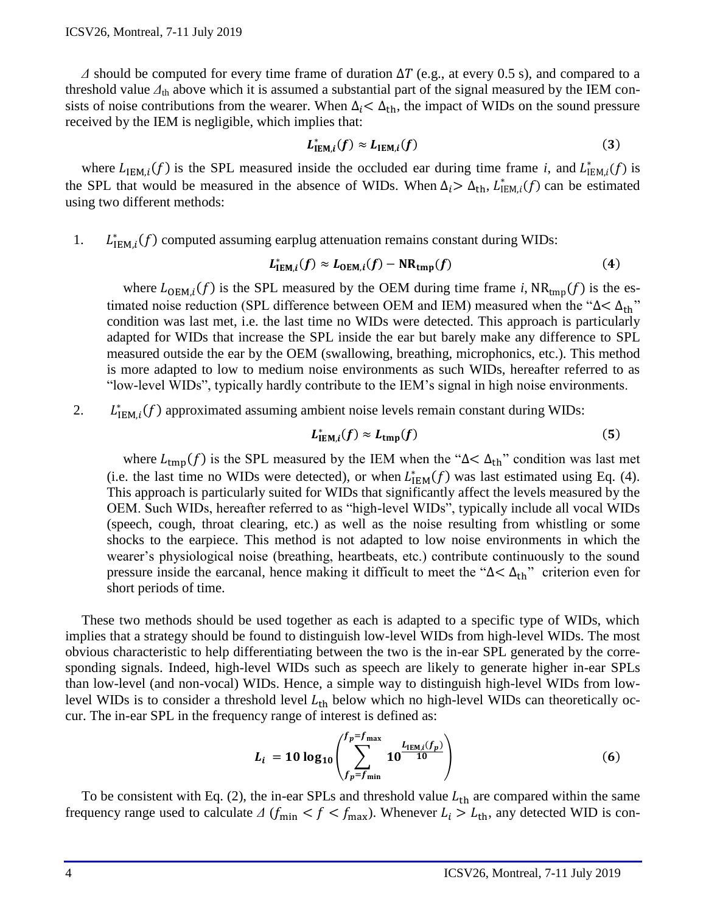$\Delta$  should be computed for every time frame of duration  $\Delta T$  (e.g., at every 0.5 s), and compared to a threshold value  $\Delta_{th}$  above which it is assumed a substantial part of the signal measured by the IEM consists of noise contributions from the wearer. When  $\Delta_i < \Delta_{\text{th}}$ , the impact of WIDs on the sound pressure received by the IEM is negligible, which implies that:

$$
L_{\text{IEM},i}^*(f) \approx L_{\text{IEM},i}(f) \tag{3}
$$

where  $L_{IEM,i}(f)$  is the SPL measured inside the occluded ear during time frame *i*, and  $L_{IEM,i}^*(f)$  is the SPL that would be measured in the absence of WIDs. When  $\Delta_i > \Delta_{\text{th}}$ ,  $L^*_{\text{IEM},i}(f)$  can be estimated using two different methods:

1.  $L_{IEM,i}^*(f)$  computed assuming earplug attenuation remains constant during WIDs:

$$
L_{\mathrm{IEM},i}^*(f) \approx L_{\mathrm{OEM},i}(f) - \mathrm{NR}_{\mathrm{tmp}}(f) \tag{4}
$$

where  $L_{\text{OEM},i}(f)$  is the SPL measured by the OEM during time frame *i*,  $NR_{\text{tmp}}(f)$  is the estimated noise reduction (SPL difference between OEM and IEM) measured when the " $\Delta < \Delta_{\text{th}}$ " condition was last met, i.e. the last time no WIDs were detected. This approach is particularly adapted for WIDs that increase the SPL inside the ear but barely make any difference to SPL measured outside the ear by the OEM (swallowing, breathing, microphonics, etc.). This method is more adapted to low to medium noise environments as such WIDs, hereafter referred to as "low-level WIDs", typically hardly contribute to the IEM's signal in high noise environments.

2.  $L_{\text{IEM},i}^*(f)$  approximated assuming ambient noise levels remain constant during WIDs:

$$
L_{\text{IEM},i}^*(f) \approx L_{\text{tmp}}(f) \tag{5}
$$

where  $L_{\text{tmp}}(f)$  is the SPL measured by the IEM when the " $\Delta < \Delta_{\text{th}}$ " condition was last met (i.e. the last time no WIDs were detected), or when  $L_{\text{IEM}}^*(f)$  was last estimated using Eq. (4). This approach is particularly suited for WIDs that significantly affect the levels measured by the OEM. Such WIDs, hereafter referred to as "high-level WIDs", typically include all vocal WIDs (speech, cough, throat clearing, etc.) as well as the noise resulting from whistling or some shocks to the earpiece. This method is not adapted to low noise environments in which the wearer's physiological noise (breathing, heartbeats, etc.) contribute continuously to the sound pressure inside the earcanal, hence making it difficult to meet the " $\Delta < \Delta_{\text{th}}$ " criterion even for short periods of time.

These two methods should be used together as each is adapted to a specific type of WIDs, which implies that a strategy should be found to distinguish low-level WIDs from high-level WIDs. The most obvious characteristic to help differentiating between the two is the in-ear SPL generated by the corresponding signals. Indeed, high-level WIDs such as speech are likely to generate higher in-ear SPLs than low-level (and non-vocal) WIDs. Hence, a simple way to distinguish high-level WIDs from lowlevel WIDs is to consider a threshold level  $L_{th}$  below which no high-level WIDs can theoretically occur. The in-ear SPL in the frequency range of interest is defined as:

$$
L_{i} = 10 \log_{10} \left( \sum_{f_{p} = f_{\min}}^{f_{p} = f_{\max}} 10^{\frac{L_{\text{IEM},i}(f_{p})}{10}} \right)
$$
 (6)

To be consistent with Eq. (2), the in-ear SPLs and threshold value  $L_{th}$  are compared within the same frequency range used to calculate  $\Delta$  ( $f_{\text{min}} < f < f_{\text{max}}$ ). Whenever  $L_i > L_{\text{th}}$ , any detected WID is con-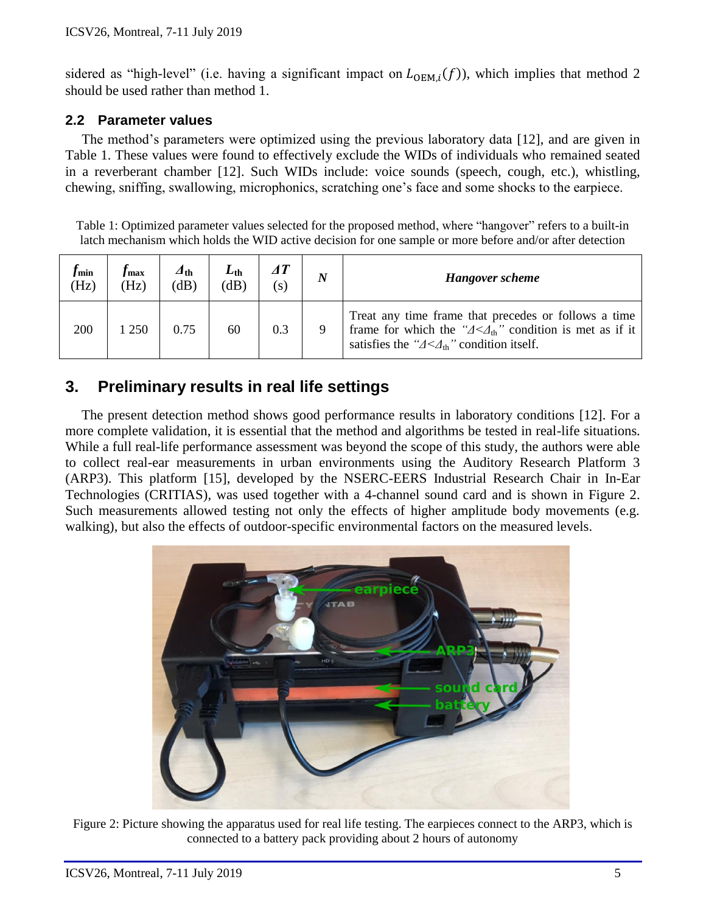sidered as "high-level" (i.e. having a significant impact on  $L_{OEM,i}(f)$ ), which implies that method 2 should be used rather than method 1.

### <span id="page-4-2"></span>**2.2 Parameter values**

The method's parameters were optimized using the previous laboratory data [12], and are given in [Table 1.](#page-4-0) These values were found to effectively exclude the WIDs of individuals who remained seated in a reverberant chamber [12]. Such WIDs include: voice sounds (speech, cough, etc.), whistling, chewing, sniffing, swallowing, microphonics, scratching one's face and some shocks to the earpiece.

<span id="page-4-0"></span>Table 1: Optimized parameter values selected for the proposed method, where "hangover" refers to a built-in latch mechanism which holds the WID active decision for one sample or more before and/or after detection

| <i>J</i> min<br>(Hz) | / max<br>(Hz) | $\Delta$ th<br>dB) | $L_{\rm th}$<br>(dB) | (S) | $\boldsymbol{N}$ | <b>Hangover</b> scheme                                                                                                                                                                                       |
|----------------------|---------------|--------------------|----------------------|-----|------------------|--------------------------------------------------------------------------------------------------------------------------------------------------------------------------------------------------------------|
| 200                  | 250           | 0.75               | 60                   | 0.3 |                  | Treat any time frame that precedes or follows a time<br>frame for which the " $\Delta < \Delta_{\text{th}}$ " condition is met as if it<br>satisfies the " $\Delta < \Delta_{\text{th}}$ " condition itself. |

# **3. Preliminary results in real life settings**

The present detection method shows good performance results in laboratory conditions [12]. For a more complete validation, it is essential that the method and algorithms be tested in real-life situations. While a full real-life performance assessment was beyond the scope of this study, the authors were able to collect real-ear measurements in urban environments using the Auditory Research Platform 3 (ARP3). This platform [15], developed by the NSERC-EERS Industrial Research Chair in In-Ear Technologies (CRITIAS), was used together with a 4-channel sound card and is shown in [Figure 2.](#page-4-1) Such measurements allowed testing not only the effects of higher amplitude body movements (e.g. walking), but also the effects of outdoor-specific environmental factors on the measured levels.

<span id="page-4-1"></span>

Figure 2: Picture showing the apparatus used for real life testing. The earpieces connect to the ARP3, which is connected to a battery pack providing about 2 hours of autonomy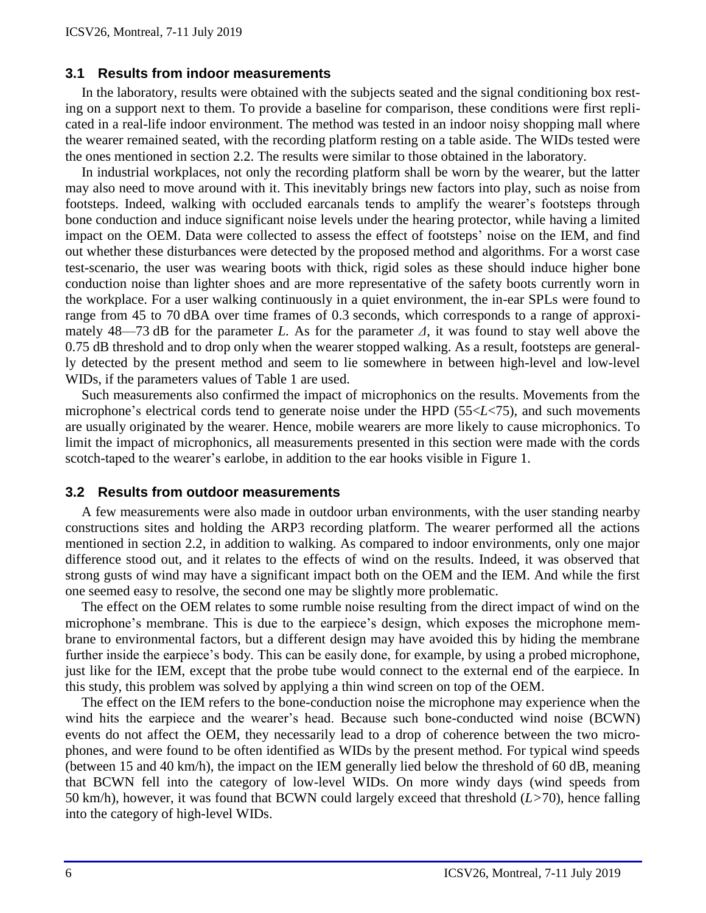#### **3.1 Results from indoor measurements**

In the laboratory, results were obtained with the subjects seated and the signal conditioning box resting on a support next to them. To provide a baseline for comparison, these conditions were first replicated in a real-life indoor environment. The method was tested in an indoor noisy shopping mall where the wearer remained seated, with the recording platform resting on a table aside. The WIDs tested were the ones mentioned in section [2.2.](#page-4-2) The results were similar to those obtained in the laboratory.

In industrial workplaces, not only the recording platform shall be worn by the wearer, but the latter may also need to move around with it. This inevitably brings new factors into play, such as noise from footsteps. Indeed, walking with occluded earcanals tends to amplify the wearer's footsteps through bone conduction and induce significant noise levels under the hearing protector, while having a limited impact on the OEM. Data were collected to assess the effect of footsteps' noise on the IEM, and find out whether these disturbances were detected by the proposed method and algorithms. For a worst case test-scenario, the user was wearing boots with thick, rigid soles as these should induce higher bone conduction noise than lighter shoes and are more representative of the safety boots currently worn in the workplace. For a user walking continuously in a quiet environment, the in-ear SPLs were found to range from 45 to 70 dBA over time frames of 0.3 seconds, which corresponds to a range of approximately 48—73 dB for the parameter *L.* As for the parameter *Δ*, it was found to stay well above the 0.75 dB threshold and to drop only when the wearer stopped walking. As a result, footsteps are generally detected by the present method and seem to lie somewhere in between high-level and low-level WIDs, if the parameters values of [Table 1](#page-4-0) are used.

Such measurements also confirmed the impact of microphonics on the results. Movements from the microphone's electrical cords tend to generate noise under the HPD (55<*L*<75), and such movements are usually originated by the wearer. Hence, mobile wearers are more likely to cause microphonics. To limit the impact of microphonics, all measurements presented in this section were made with the cords scotch-taped to the wearer's earlobe, in addition to the ear hooks visible in [Figure 1.](#page-2-0)

#### **3.2 Results from outdoor measurements**

A few measurements were also made in outdoor urban environments, with the user standing nearby constructions sites and holding the ARP3 recording platform. The wearer performed all the actions mentioned in section [2.2,](#page-4-2) in addition to walking. As compared to indoor environments, only one major difference stood out, and it relates to the effects of wind on the results. Indeed, it was observed that strong gusts of wind may have a significant impact both on the OEM and the IEM. And while the first one seemed easy to resolve, the second one may be slightly more problematic.

The effect on the OEM relates to some rumble noise resulting from the direct impact of wind on the microphone's membrane. This is due to the earpiece's design, which exposes the microphone membrane to environmental factors, but a different design may have avoided this by hiding the membrane further inside the earpiece's body. This can be easily done, for example, by using a probed microphone, just like for the IEM, except that the probe tube would connect to the external end of the earpiece. In this study, this problem was solved by applying a thin wind screen on top of the OEM.

The effect on the IEM refers to the bone-conduction noise the microphone may experience when the wind hits the earpiece and the wearer's head. Because such bone-conducted wind noise (BCWN) events do not affect the OEM, they necessarily lead to a drop of coherence between the two microphones, and were found to be often identified as WIDs by the present method. For typical wind speeds (between 15 and 40 km/h), the impact on the IEM generally lied below the threshold of 60 dB, meaning that BCWN fell into the category of low-level WIDs. On more windy days (wind speeds from 50 km/h), however, it was found that BCWN could largely exceed that threshold (*L>*70), hence falling into the category of high-level WIDs.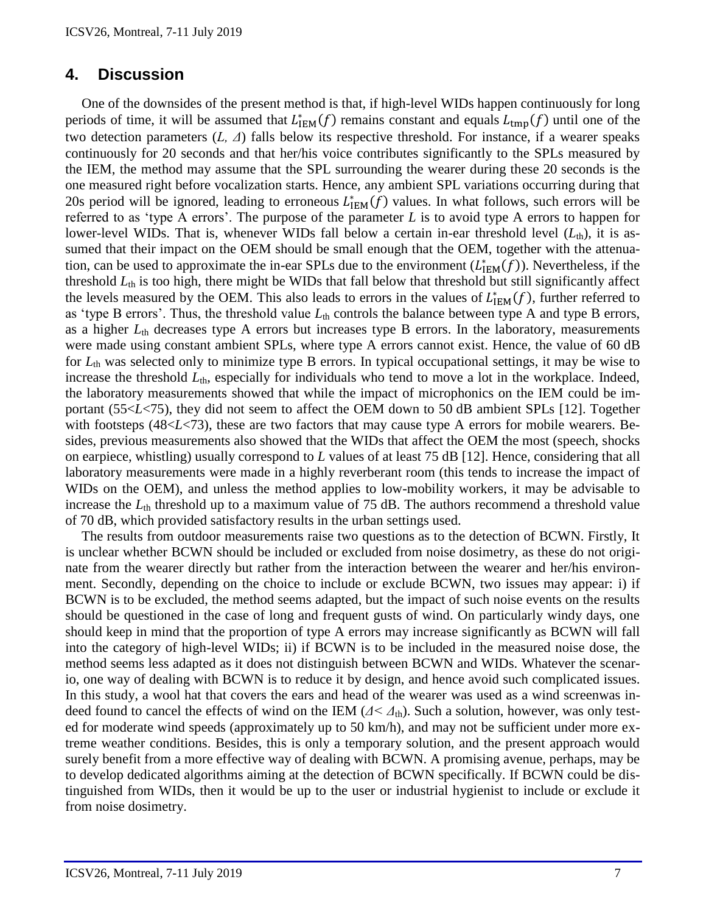## **4. Discussion**

One of the downsides of the present method is that, if high-level WIDs happen continuously for long periods of time, it will be assumed that  $L_{\text{IEM}}^*(f)$  remains constant and equals  $L_{\text{tmp}}(f)$  until one of the two detection parameters (*L, Δ*) falls below its respective threshold. For instance, if a wearer speaks continuously for 20 seconds and that her/his voice contributes significantly to the SPLs measured by the IEM, the method may assume that the SPL surrounding the wearer during these 20 seconds is the one measured right before vocalization starts. Hence, any ambient SPL variations occurring during that 20s period will be ignored, leading to erroneous  $L_{\text{IEM}}^*(f)$  values. In what follows, such errors will be referred to as 'type A errors'. The purpose of the parameter *L* is to avoid type A errors to happen for lower-level WIDs. That is, whenever WIDs fall below a certain in-ear threshold level  $(L<sub>th</sub>)$ , it is assumed that their impact on the OEM should be small enough that the OEM, together with the attenuation, can be used to approximate the in-ear SPLs due to the environment  $(L_{\text{IEM}}^*(f))$ . Nevertheless, if the threshold *L*th is too high, there might be WIDs that fall below that threshold but still significantly affect the levels measured by the OEM. This also leads to errors in the values of  $L_{\text{IEM}}^*(f)$ , further referred to as 'type B errors'. Thus, the threshold value  $L_{th}$  controls the balance between type A and type B errors, as a higher  $L_{th}$  decreases type A errors but increases type B errors. In the laboratory, measurements were made using constant ambient SPLs, where type A errors cannot exist. Hence, the value of 60 dB for *L*th was selected only to minimize type B errors. In typical occupational settings, it may be wise to increase the threshold  $L_{th}$ , especially for individuals who tend to move a lot in the workplace. Indeed, the laboratory measurements showed that while the impact of microphonics on the IEM could be important (55<*L*<75), they did not seem to affect the OEM down to 50 dB ambient SPLs [12]. Together with footsteps (48<*L*<73), these are two factors that may cause type A errors for mobile wearers. Besides, previous measurements also showed that the WIDs that affect the OEM the most (speech, shocks on earpiece, whistling) usually correspond to *L* values of at least 75 dB [12]. Hence, considering that all laboratory measurements were made in a highly reverberant room (this tends to increase the impact of WIDs on the OEM), and unless the method applies to low-mobility workers, it may be advisable to increase the *L*th threshold up to a maximum value of 75 dB. The authors recommend a threshold value of 70 dB, which provided satisfactory results in the urban settings used.

The results from outdoor measurements raise two questions as to the detection of BCWN. Firstly, It is unclear whether BCWN should be included or excluded from noise dosimetry, as these do not originate from the wearer directly but rather from the interaction between the wearer and her/his environment. Secondly, depending on the choice to include or exclude BCWN, two issues may appear: i) if BCWN is to be excluded, the method seems adapted, but the impact of such noise events on the results should be questioned in the case of long and frequent gusts of wind. On particularly windy days, one should keep in mind that the proportion of type A errors may increase significantly as BCWN will fall into the category of high-level WIDs; ii) if BCWN is to be included in the measured noise dose, the method seems less adapted as it does not distinguish between BCWN and WIDs. Whatever the scenario, one way of dealing with BCWN is to reduce it by design, and hence avoid such complicated issues. In this study, a wool hat that covers the ears and head of the wearer was used as a wind screenwas indeed found to cancel the effects of wind on the IEM  $(A \leq A_{th})$ . Such a solution, however, was only tested for moderate wind speeds (approximately up to 50 km/h), and may not be sufficient under more extreme weather conditions. Besides, this is only a temporary solution, and the present approach would surely benefit from a more effective way of dealing with BCWN. A promising avenue, perhaps, may be to develop dedicated algorithms aiming at the detection of BCWN specifically. If BCWN could be distinguished from WIDs, then it would be up to the user or industrial hygienist to include or exclude it from noise dosimetry.